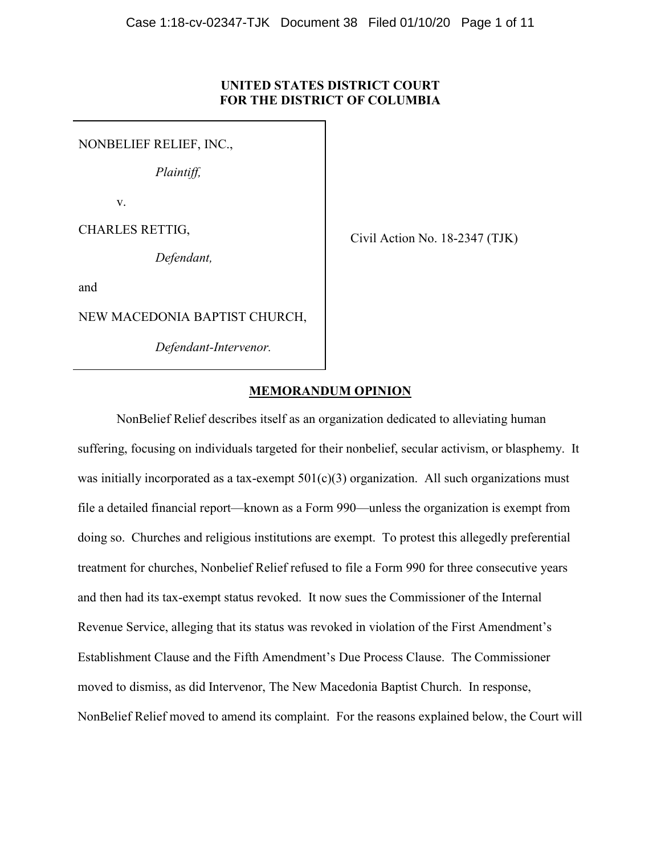# **UNITED STATES DISTRICT COURT FOR THE DISTRICT OF COLUMBIA**

NONBELIEF RELIEF, INC.,

*Plaintiff,*

v.

CHARLES RETTIG,

*Defendant,*

Civil Action No. 18-2347 (TJK)

and

NEW MACEDONIA BAPTIST CHURCH,

*Defendant-Intervenor.*

# **MEMORANDUM OPINION**

NonBelief Relief describes itself as an organization dedicated to alleviating human suffering, focusing on individuals targeted for their nonbelief, secular activism, or blasphemy. It was initially incorporated as a tax-exempt  $501(c)(3)$  organization. All such organizations must file a detailed financial report—known as a Form 990—unless the organization is exempt from doing so. Churches and religious institutions are exempt. To protest this allegedly preferential treatment for churches, Nonbelief Relief refused to file a Form 990 for three consecutive years and then had its tax-exempt status revoked. It now sues the Commissioner of the Internal Revenue Service, alleging that its status was revoked in violation of the First Amendment's Establishment Clause and the Fifth Amendment's Due Process Clause. The Commissioner moved to dismiss, as did Intervenor, The New Macedonia Baptist Church. In response, NonBelief Relief moved to amend its complaint. For the reasons explained below, the Court will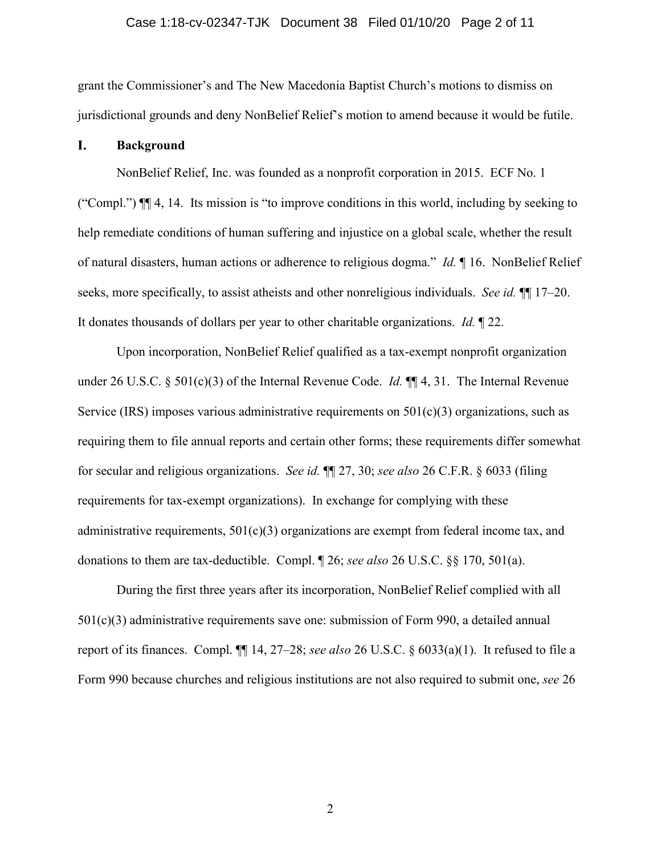### Case 1:18-cv-02347-TJK Document 38 Filed 01/10/20 Page 2 of 11

grant the Commissioner's and The New Macedonia Baptist Church's motions to dismiss on jurisdictional grounds and deny NonBelief Relief's motion to amend because it would be futile.

#### I. **Background**

NonBelief Relief, Inc. was founded as a nonprofit corporation in 2015. ECF No. 1 ("Compl.") ¶¶ 4, 14. Its mission is "to improve conditions in this world, including by seeking to help remediate conditions of human suffering and injustice on a global scale, whether the result of natural disasters, human actions or adherence to religious dogma." *Id.* ¶ 16. NonBelief Relief seeks, more specifically, to assist atheists and other nonreligious individuals. *See id.*  $\P$  17–20. It donates thousands of dollars per year to other charitable organizations. *Id.* ¶ 22.

Upon incorporation, NonBelief Relief qualified as a tax-exempt nonprofit organization under 26 U.S.C. § 501(c)(3) of the Internal Revenue Code. *Id.* ¶¶ 4, 31. The Internal Revenue Service (IRS) imposes various administrative requirements on  $501(c)(3)$  organizations, such as requiring them to file annual reports and certain other forms; these requirements differ somewhat for secular and religious organizations. *See id.* ¶¶ 27, 30; *see also* 26 C.F.R. § 6033 (filing requirements for tax-exempt organizations). In exchange for complying with these administrative requirements,  $501(c)(3)$  organizations are exempt from federal income tax, and donations to them are tax-deductible. Compl. ¶ 26; *see also* 26 U.S.C. §§ 170, 501(a).

During the first three years after its incorporation, NonBelief Relief complied with all 501(c)(3) administrative requirements save one: submission of Form 990, a detailed annual report of its finances. Compl. ¶¶ 14, 27–28; *see also* 26 U.S.C. § 6033(a)(1). It refused to file a Form 990 because churches and religious institutions are not also required to submit one, *see* 26

2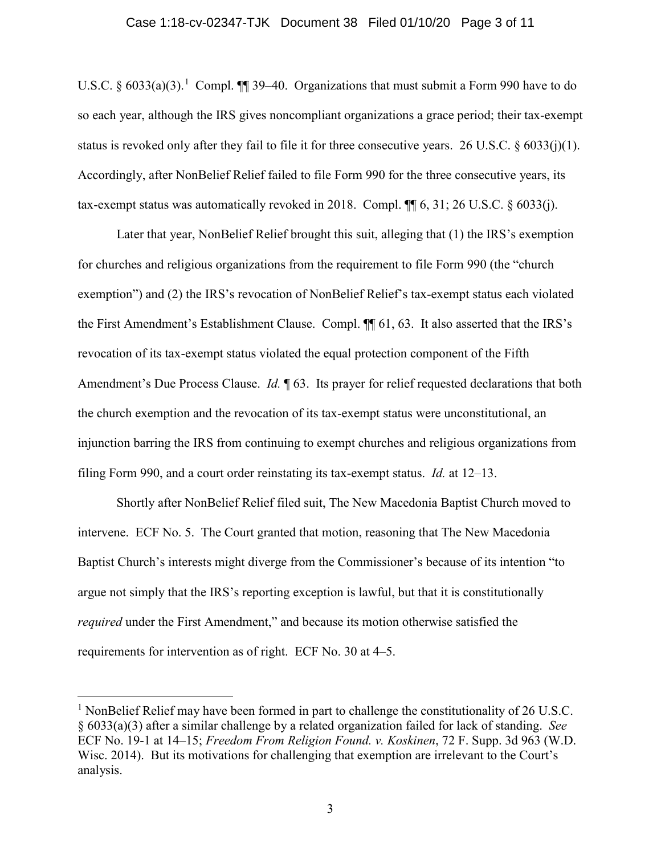### Case 1:18-cv-02347-TJK Document 38 Filed 01/10/20 Page 3 of 11

U.S.C.  $\S 6033(a)(3)$ .<sup>[1](#page-2-0)</sup> Compl.  $\P$  39–40. Organizations that must submit a Form 990 have to do so each year, although the IRS gives noncompliant organizations a grace period; their tax-exempt status is revoked only after they fail to file it for three consecutive years. 26 U.S.C. § 6033(j)(1). Accordingly, after NonBelief Relief failed to file Form 990 for the three consecutive years, its tax-exempt status was automatically revoked in 2018. Compl.  $\P$  6, 31; 26 U.S.C. § 6033(j).

Later that year, NonBelief Relief brought this suit, alleging that (1) the IRS's exemption for churches and religious organizations from the requirement to file Form 990 (the "church exemption") and (2) the IRS's revocation of NonBelief Relief's tax-exempt status each violated the First Amendment's Establishment Clause. Compl. ¶¶ 61, 63. It also asserted that the IRS's revocation of its tax-exempt status violated the equal protection component of the Fifth Amendment's Due Process Clause. *Id.* ¶ 63. Its prayer for relief requested declarations that both the church exemption and the revocation of its tax-exempt status were unconstitutional, an injunction barring the IRS from continuing to exempt churches and religious organizations from filing Form 990, and a court order reinstating its tax-exempt status. *Id.* at 12–13.

Shortly after NonBelief Relief filed suit, The New Macedonia Baptist Church moved to intervene. ECF No. 5. The Court granted that motion, reasoning that The New Macedonia Baptist Church's interests might diverge from the Commissioner's because of its intention "to argue not simply that the IRS's reporting exception is lawful, but that it is constitutionally *required* under the First Amendment," and because its motion otherwise satisfied the requirements for intervention as of right. ECF No. 30 at 4–5.

<span id="page-2-0"></span><sup>&</sup>lt;sup>1</sup> NonBelief Relief may have been formed in part to challenge the constitutionality of 26 U.S.C. § 6033(a)(3) after a similar challenge by a related organization failed for lack of standing. *See* ECF No. 19-1 at 14–15; *Freedom From Religion Found. v. Koskinen*, 72 F. Supp. 3d 963 (W.D. Wisc. 2014). But its motivations for challenging that exemption are irrelevant to the Court's analysis.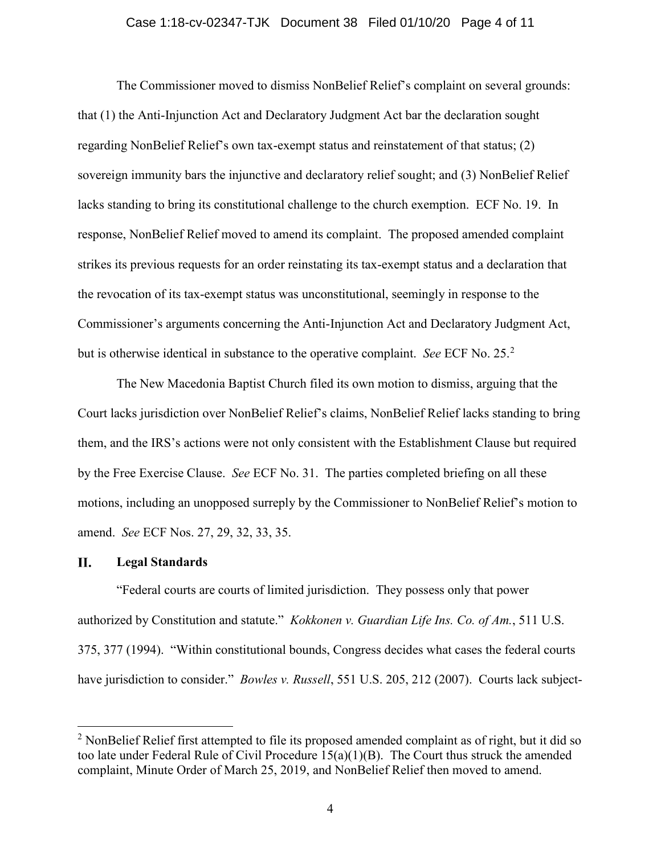### Case 1:18-cv-02347-TJK Document 38 Filed 01/10/20 Page 4 of 11

The Commissioner moved to dismiss NonBelief Relief's complaint on several grounds: that (1) the Anti-Injunction Act and Declaratory Judgment Act bar the declaration sought regarding NonBelief Relief's own tax-exempt status and reinstatement of that status; (2) sovereign immunity bars the injunctive and declaratory relief sought; and (3) NonBelief Relief lacks standing to bring its constitutional challenge to the church exemption. ECF No. 19. In response, NonBelief Relief moved to amend its complaint. The proposed amended complaint strikes its previous requests for an order reinstating its tax-exempt status and a declaration that the revocation of its tax-exempt status was unconstitutional, seemingly in response to the Commissioner's arguments concerning the Anti-Injunction Act and Declaratory Judgment Act, but is otherwise identical in substance to the operative complaint. *See* ECF No. 25.[2](#page-3-0)

The New Macedonia Baptist Church filed its own motion to dismiss, arguing that the Court lacks jurisdiction over NonBelief Relief's claims, NonBelief Relief lacks standing to bring them, and the IRS's actions were not only consistent with the Establishment Clause but required by the Free Exercise Clause. *See* ECF No. 31. The parties completed briefing on all these motions, including an unopposed surreply by the Commissioner to NonBelief Relief's motion to amend. *See* ECF Nos. 27, 29, 32, 33, 35.

#### П. **Legal Standards**

"Federal courts are courts of limited jurisdiction. They possess only that power authorized by Constitution and statute." *Kokkonen v. Guardian Life Ins. Co. of Am.*, 511 U.S. 375, 377 (1994). "Within constitutional bounds, Congress decides what cases the federal courts have jurisdiction to consider." *Bowles v. Russell*, 551 U.S. 205, 212 (2007). Courts lack subject-

<span id="page-3-0"></span> $2$  NonBelief Relief first attempted to file its proposed amended complaint as of right, but it did so too late under Federal Rule of Civil Procedure 15(a)(1)(B). The Court thus struck the amended complaint, Minute Order of March 25, 2019, and NonBelief Relief then moved to amend.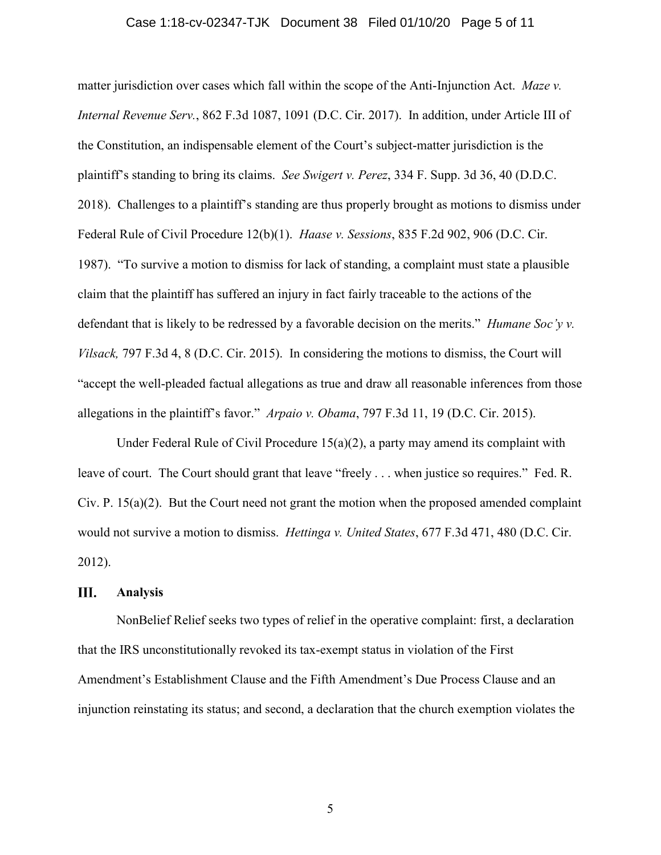### Case 1:18-cv-02347-TJK Document 38 Filed 01/10/20 Page 5 of 11

matter jurisdiction over cases which fall within the scope of the Anti-Injunction Act. *Maze v. Internal Revenue Serv.*, 862 F.3d 1087, 1091 (D.C. Cir. 2017). In addition, under Article III of the Constitution, an indispensable element of the Court's subject-matter jurisdiction is the plaintiff's standing to bring its claims. *See Swigert v. Perez*, 334 F. Supp. 3d 36, 40 (D.D.C. 2018). Challenges to a plaintiff's standing are thus properly brought as motions to dismiss under Federal Rule of Civil Procedure 12(b)(1). *Haase v. Sessions*, 835 F.2d 902, 906 (D.C. Cir. 1987). "To survive a motion to dismiss for lack of standing, a complaint must state a plausible claim that the plaintiff has suffered an injury in fact fairly traceable to the actions of the defendant that is likely to be redressed by a favorable decision on the merits." *Humane Soc'y v. Vilsack,* 797 F.3d 4, 8 (D.C. Cir. 2015). In considering the motions to dismiss, the Court will "accept the well-pleaded factual allegations as true and draw all reasonable inferences from those allegations in the plaintiff's favor." *Arpaio v. Obama*, 797 F.3d 11, 19 (D.C. Cir. 2015).

Under Federal Rule of Civil Procedure 15(a)(2), a party may amend its complaint with leave of court. The Court should grant that leave "freely . . . when justice so requires." Fed. R. Civ. P. 15(a)(2). But the Court need not grant the motion when the proposed amended complaint would not survive a motion to dismiss. *Hettinga v. United States*, 677 F.3d 471, 480 (D.C. Cir. 2012).

#### Ш. **Analysis**

NonBelief Relief seeks two types of relief in the operative complaint: first, a declaration that the IRS unconstitutionally revoked its tax-exempt status in violation of the First Amendment's Establishment Clause and the Fifth Amendment's Due Process Clause and an injunction reinstating its status; and second, a declaration that the church exemption violates the

5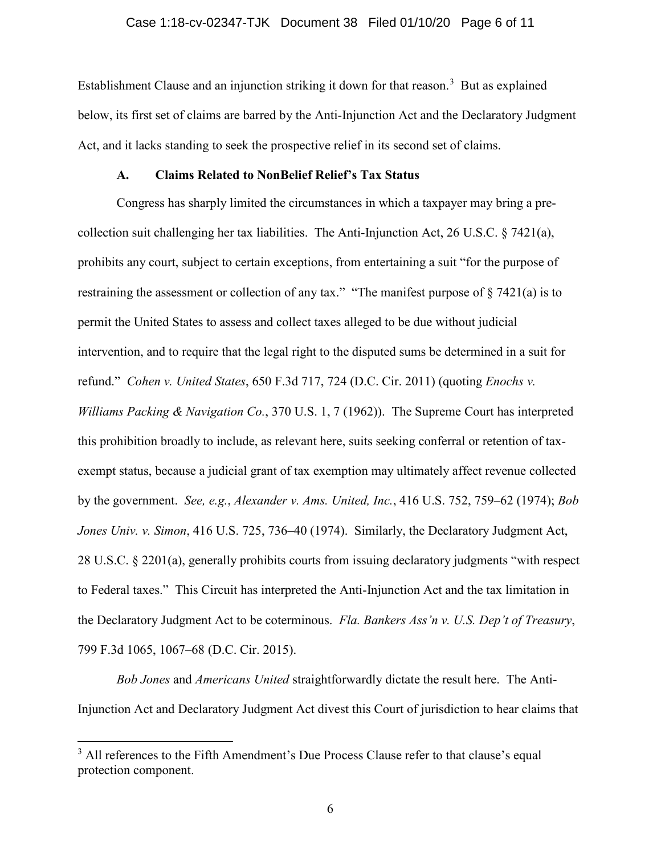### Case 1:18-cv-02347-TJK Document 38 Filed 01/10/20 Page 6 of 11

Establishment Clause and an injunction striking it down for that reason.<sup>[3](#page-5-0)</sup> But as explained below, its first set of claims are barred by the Anti-Injunction Act and the Declaratory Judgment Act, and it lacks standing to seek the prospective relief in its second set of claims.

## **A. Claims Related to NonBelief Relief's Tax Status**

Congress has sharply limited the circumstances in which a taxpayer may bring a precollection suit challenging her tax liabilities. The Anti-Injunction Act, 26 U.S.C. § 7421(a), prohibits any court, subject to certain exceptions, from entertaining a suit "for the purpose of restraining the assessment or collection of any tax." "The manifest purpose of § 7421(a) is to permit the United States to assess and collect taxes alleged to be due without judicial intervention, and to require that the legal right to the disputed sums be determined in a suit for refund." *Cohen v. United States*, 650 F.3d 717, 724 (D.C. Cir. 2011) (quoting *Enochs v. Williams Packing & Navigation Co.*, 370 U.S. 1, 7 (1962)). The Supreme Court has interpreted this prohibition broadly to include, as relevant here, suits seeking conferral or retention of taxexempt status, because a judicial grant of tax exemption may ultimately affect revenue collected by the government. *See, e.g.*, *Alexander v. Ams. United, Inc.*, 416 U.S. 752, 759–62 (1974); *Bob Jones Univ. v. Simon*, 416 U.S. 725, 736–40 (1974). Similarly, the Declaratory Judgment Act, 28 U.S.C. § 2201(a), generally prohibits courts from issuing declaratory judgments "with respect to Federal taxes." This Circuit has interpreted the Anti-Injunction Act and the tax limitation in the Declaratory Judgment Act to be coterminous. *Fla. Bankers Ass'n v. U.S. Dep't of Treasury*, 799 F.3d 1065, 1067–68 (D.C. Cir. 2015).

*Bob Jones* and *Americans United* straightforwardly dictate the result here. The Anti-Injunction Act and Declaratory Judgment Act divest this Court of jurisdiction to hear claims that

<span id="page-5-0"></span><sup>&</sup>lt;sup>3</sup> All references to the Fifth Amendment's Due Process Clause refer to that clause's equal protection component.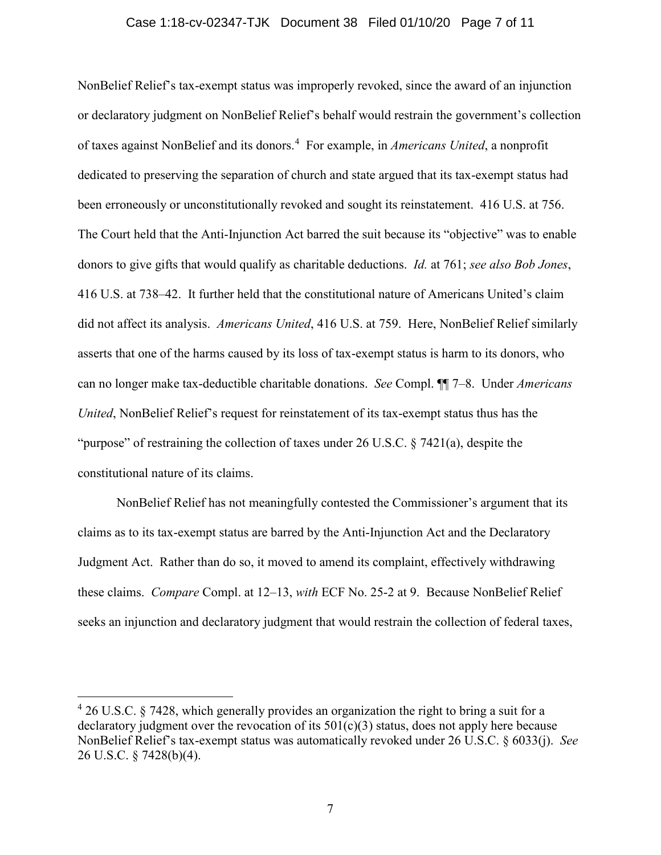### Case 1:18-cv-02347-TJK Document 38 Filed 01/10/20 Page 7 of 11

NonBelief Relief's tax-exempt status was improperly revoked, since the award of an injunction or declaratory judgment on NonBelief Relief's behalf would restrain the government's collection of taxes against NonBelief and its donors.[4](#page-6-0) For example, in *Americans United*, a nonprofit dedicated to preserving the separation of church and state argued that its tax-exempt status had been erroneously or unconstitutionally revoked and sought its reinstatement. 416 U.S. at 756. The Court held that the Anti-Injunction Act barred the suit because its "objective" was to enable donors to give gifts that would qualify as charitable deductions. *Id.* at 761; *see also Bob Jones*, 416 U.S. at 738–42. It further held that the constitutional nature of Americans United's claim did not affect its analysis. *Americans United*, 416 U.S. at 759. Here, NonBelief Relief similarly asserts that one of the harms caused by its loss of tax-exempt status is harm to its donors, who can no longer make tax-deductible charitable donations. *See* Compl. ¶¶ 7–8. Under *Americans United*, NonBelief Relief's request for reinstatement of its tax-exempt status thus has the "purpose" of restraining the collection of taxes under 26 U.S.C. § 7421(a), despite the constitutional nature of its claims.

NonBelief Relief has not meaningfully contested the Commissioner's argument that its claims as to its tax-exempt status are barred by the Anti-Injunction Act and the Declaratory Judgment Act. Rather than do so, it moved to amend its complaint, effectively withdrawing these claims. *Compare* Compl. at 12–13, *with* ECF No. 25-2 at 9. Because NonBelief Relief seeks an injunction and declaratory judgment that would restrain the collection of federal taxes,

<span id="page-6-0"></span> $426$  U.S.C. § 7428, which generally provides an organization the right to bring a suit for a declaratory judgment over the revocation of its  $501(c)(3)$  status, does not apply here because NonBelief Relief's tax-exempt status was automatically revoked under 26 U.S.C. § 6033(j). *See* 26 U.S.C. § 7428(b)(4).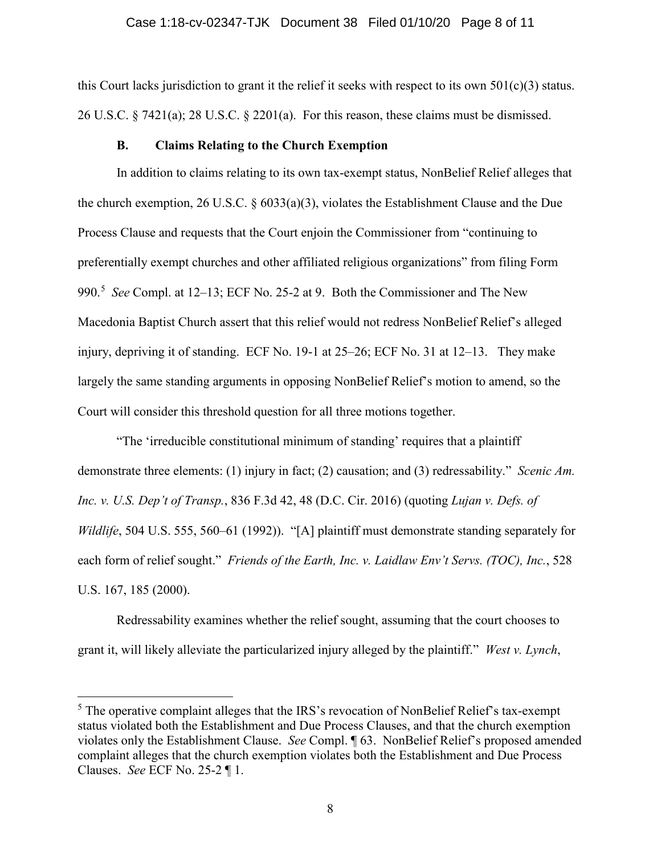### Case 1:18-cv-02347-TJK Document 38 Filed 01/10/20 Page 8 of 11

this Court lacks jurisdiction to grant it the relief it seeks with respect to its own  $501(c)(3)$  status. 26 U.S.C. § 7421(a); 28 U.S.C. § 2201(a). For this reason, these claims must be dismissed.

### **B. Claims Relating to the Church Exemption**

In addition to claims relating to its own tax-exempt status, NonBelief Relief alleges that the church exemption, 26 U.S.C. § 6033(a)(3), violates the Establishment Clause and the Due Process Clause and requests that the Court enjoin the Commissioner from "continuing to preferentially exempt churches and other affiliated religious organizations" from filing Form 990.[5](#page-7-0) *See* Compl. at 12–13; ECF No. 25-2 at 9. Both the Commissioner and The New Macedonia Baptist Church assert that this relief would not redress NonBelief Relief's alleged injury, depriving it of standing. ECF No. 19-1 at 25–26; ECF No. 31 at 12–13. They make largely the same standing arguments in opposing NonBelief Relief's motion to amend, so the Court will consider this threshold question for all three motions together.

"The 'irreducible constitutional minimum of standing' requires that a plaintiff demonstrate three elements: (1) injury in fact; (2) causation; and (3) redressability." *Scenic Am. Inc. v. U.S. Dep't of Transp.*, 836 F.3d 42, 48 (D.C. Cir. 2016) (quoting *Lujan v. Defs. of Wildlife*, 504 U.S. 555, 560–61 (1992)). "[A] plaintiff must demonstrate standing separately for each form of relief sought." *Friends of the Earth, Inc. v. Laidlaw Env't Servs. (TOC), Inc.*, 528 U.S. 167, 185 (2000).

Redressability examines whether the relief sought, assuming that the court chooses to grant it, will likely alleviate the particularized injury alleged by the plaintiff." *West v. Lynch*,

<span id="page-7-0"></span> $<sup>5</sup>$  The operative complaint alleges that the IRS's revocation of NonBelief Relief's tax-exempt</sup> status violated both the Establishment and Due Process Clauses, and that the church exemption violates only the Establishment Clause. *See* Compl. ¶ 63. NonBelief Relief's proposed amended complaint alleges that the church exemption violates both the Establishment and Due Process Clauses. *See* ECF No. 25-2 ¶ 1.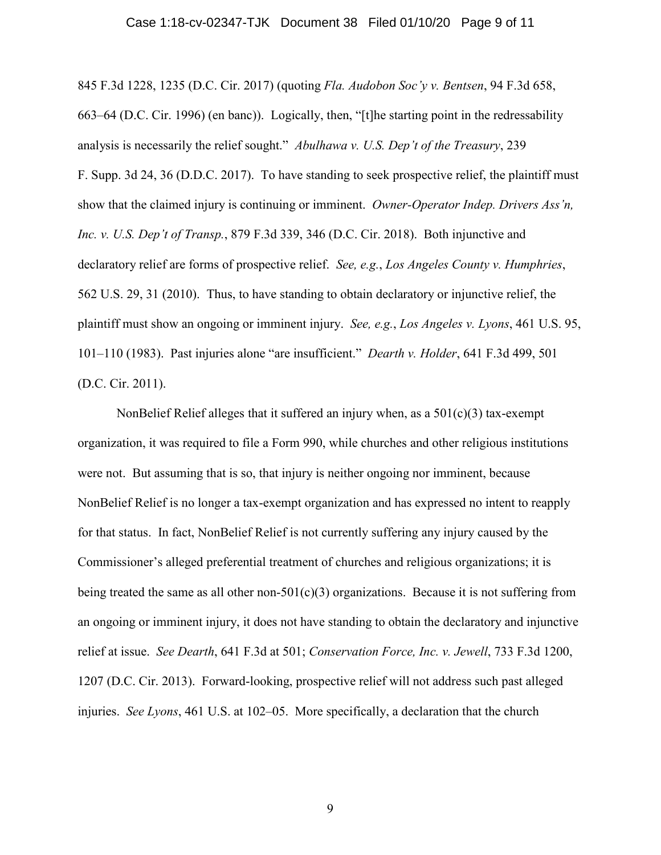#### Case 1:18-cv-02347-TJK Document 38 Filed 01/10/20 Page 9 of 11

845 F.3d 1228, 1235 (D.C. Cir. 2017) (quoting *Fla. Audobon Soc'y v. Bentsen*, 94 F.3d 658, 663–64 (D.C. Cir. 1996) (en banc)). Logically, then, "[t]he starting point in the redressability analysis is necessarily the relief sought." *Abulhawa v. U.S. Dep't of the Treasury*, 239 F. Supp. 3d 24, 36 (D.D.C. 2017). To have standing to seek prospective relief, the plaintiff must show that the claimed injury is continuing or imminent. *Owner-Operator Indep. Drivers Ass'n, Inc. v. U.S. Dep't of Transp.*, 879 F.3d 339, 346 (D.C. Cir. 2018). Both injunctive and declaratory relief are forms of prospective relief. *See, e.g.*, *Los Angeles County v. Humphries*, 562 U.S. 29, 31 (2010). Thus, to have standing to obtain declaratory or injunctive relief, the plaintiff must show an ongoing or imminent injury. *See, e.g.*, *Los Angeles v. Lyons*, 461 U.S. 95, 101–110 (1983). Past injuries alone "are insufficient." *Dearth v. Holder*, 641 F.3d 499, 501 (D.C. Cir. 2011).

NonBelief Relief alleges that it suffered an injury when, as a  $501(c)(3)$  tax-exempt organization, it was required to file a Form 990, while churches and other religious institutions were not. But assuming that is so, that injury is neither ongoing nor imminent, because NonBelief Relief is no longer a tax-exempt organization and has expressed no intent to reapply for that status. In fact, NonBelief Relief is not currently suffering any injury caused by the Commissioner's alleged preferential treatment of churches and religious organizations; it is being treated the same as all other non- $501(c)(3)$  organizations. Because it is not suffering from an ongoing or imminent injury, it does not have standing to obtain the declaratory and injunctive relief at issue. *See Dearth*, 641 F.3d at 501; *Conservation Force, Inc. v. Jewell*, 733 F.3d 1200, 1207 (D.C. Cir. 2013). Forward-looking, prospective relief will not address such past alleged injuries. *See Lyons*, 461 U.S. at 102–05. More specifically, a declaration that the church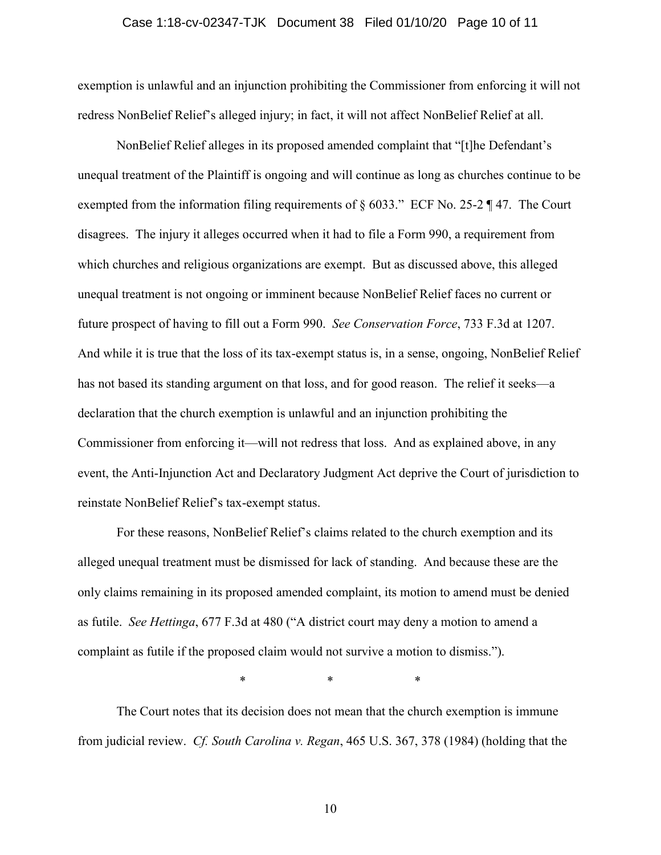# Case 1:18-cv-02347-TJK Document 38 Filed 01/10/20 Page 10 of 11

exemption is unlawful and an injunction prohibiting the Commissioner from enforcing it will not redress NonBelief Relief's alleged injury; in fact, it will not affect NonBelief Relief at all.

NonBelief Relief alleges in its proposed amended complaint that "[t]he Defendant's unequal treatment of the Plaintiff is ongoing and will continue as long as churches continue to be exempted from the information filing requirements of  $\S$  6033." ECF No. 25-2 ¶ 47. The Court disagrees. The injury it alleges occurred when it had to file a Form 990, a requirement from which churches and religious organizations are exempt. But as discussed above, this alleged unequal treatment is not ongoing or imminent because NonBelief Relief faces no current or future prospect of having to fill out a Form 990. *See Conservation Force*, 733 F.3d at 1207. And while it is true that the loss of its tax-exempt status is, in a sense, ongoing, NonBelief Relief has not based its standing argument on that loss, and for good reason. The relief it seeks—a declaration that the church exemption is unlawful and an injunction prohibiting the Commissioner from enforcing it—will not redress that loss. And as explained above, in any event, the Anti-Injunction Act and Declaratory Judgment Act deprive the Court of jurisdiction to reinstate NonBelief Relief's tax-exempt status.

For these reasons, NonBelief Relief's claims related to the church exemption and its alleged unequal treatment must be dismissed for lack of standing. And because these are the only claims remaining in its proposed amended complaint, its motion to amend must be denied as futile. *See Hettinga*, 677 F.3d at 480 ("A district court may deny a motion to amend a complaint as futile if the proposed claim would not survive a motion to dismiss.").

\* \* \*

The Court notes that its decision does not mean that the church exemption is immune from judicial review. *Cf. South Carolina v. Regan*, 465 U.S. 367, 378 (1984) (holding that the

10